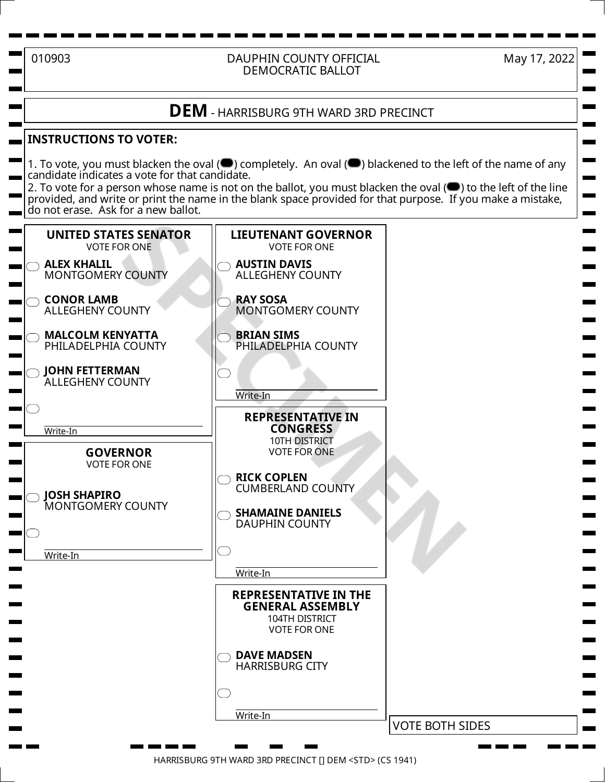## 010903 DAUPHIN COUNTY OFFICIAL DEMOCRATIC BALLOT

May 17, 2022

## **DEM** - HARRISBURG 9TH WARD 3RD PRECINCT

## **INSTRUCTIONS TO VOTER:**

1. To vote, you must blacken the oval ( $\blacksquare$ ) completely. An oval ( $\blacksquare$ ) blackened to the left of the name of any candidate indicates a vote for that candidate.

2. To vote for a person whose name is not on the ballot, you must blacken the oval  $(\blacksquare)$  to the left of the line provided, and write or print the name in the blank space provided for that purpose. If you make a mistake, do not erase. Ask for a new ballot.